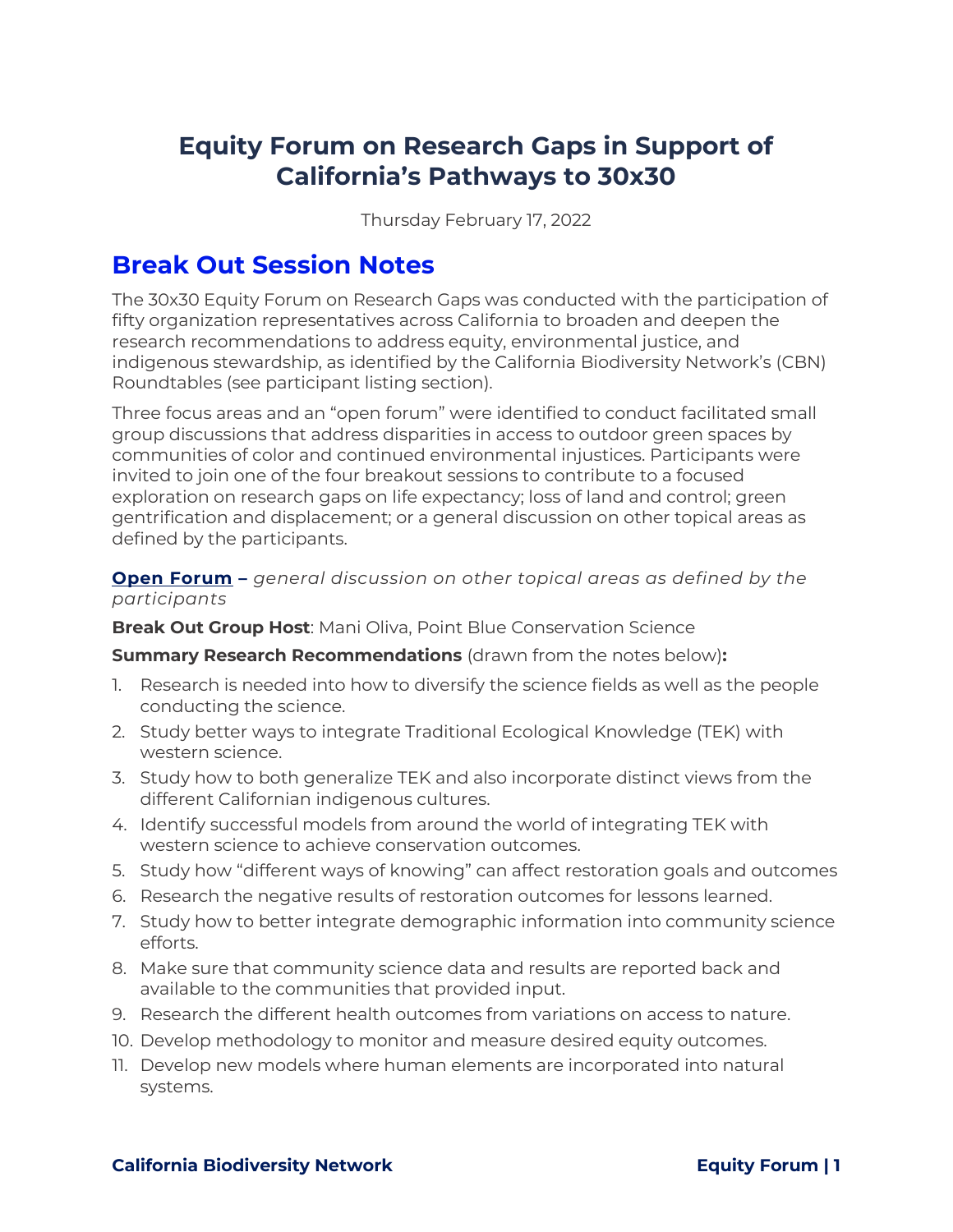# **Equity Forum on Research Gaps in Support of California's Pathways to 30x30**

Thursday February 17, 2022

# **Break Out Session Notes**

The 30x30 Equity Forum on Research Gaps was conducted with the participation of fifty organization representatives across California to broaden and deepen the research recommendations to address equity, environmental justice, and indigenous stewardship, as identified by the California Biodiversity Network's (CBN) Roundtables (see participant listing section).

Three focus areas and an "open forum" were identified to conduct facilitated small group discussions that address disparities in access to outdoor green spaces by communities of color and continued environmental injustices. Participants were invited to join one of the four breakout sessions to contribute to a focused exploration on research gaps on life expectancy; loss of land and control; green gentrification and displacement; or a general discussion on other topical areas as defined by the participants.

# **Open Forum –** *general discussion on other topical areas as defined by the participants*

**Break Out Group Host**: Mani Oliva, Point Blue Conservation Science

**Summary Research Recommendations** (drawn from the notes below)**:**

- 1. Research is needed into how to diversify the science fields as well as the people conducting the science.
- 2. Study better ways to integrate Traditional Ecological Knowledge (TEK) with western science.
- 3. Study how to both generalize TEK and also incorporate distinct views from the different Californian indigenous cultures.
- 4. Identify successful models from around the world of integrating TEK with western science to achieve conservation outcomes.
- 5. Study how "different ways of knowing" can affect restoration goals and outcomes
- 6. Research the negative results of restoration outcomes for lessons learned.
- 7. Study how to better integrate demographic information into community science efforts.
- 8. Make sure that community science data and results are reported back and available to the communities that provided input.
- 9. Research the different health outcomes from variations on access to nature.
- 10. Develop methodology to monitor and measure desired equity outcomes.
- 11. Develop new models where human elements are incorporated into natural systems.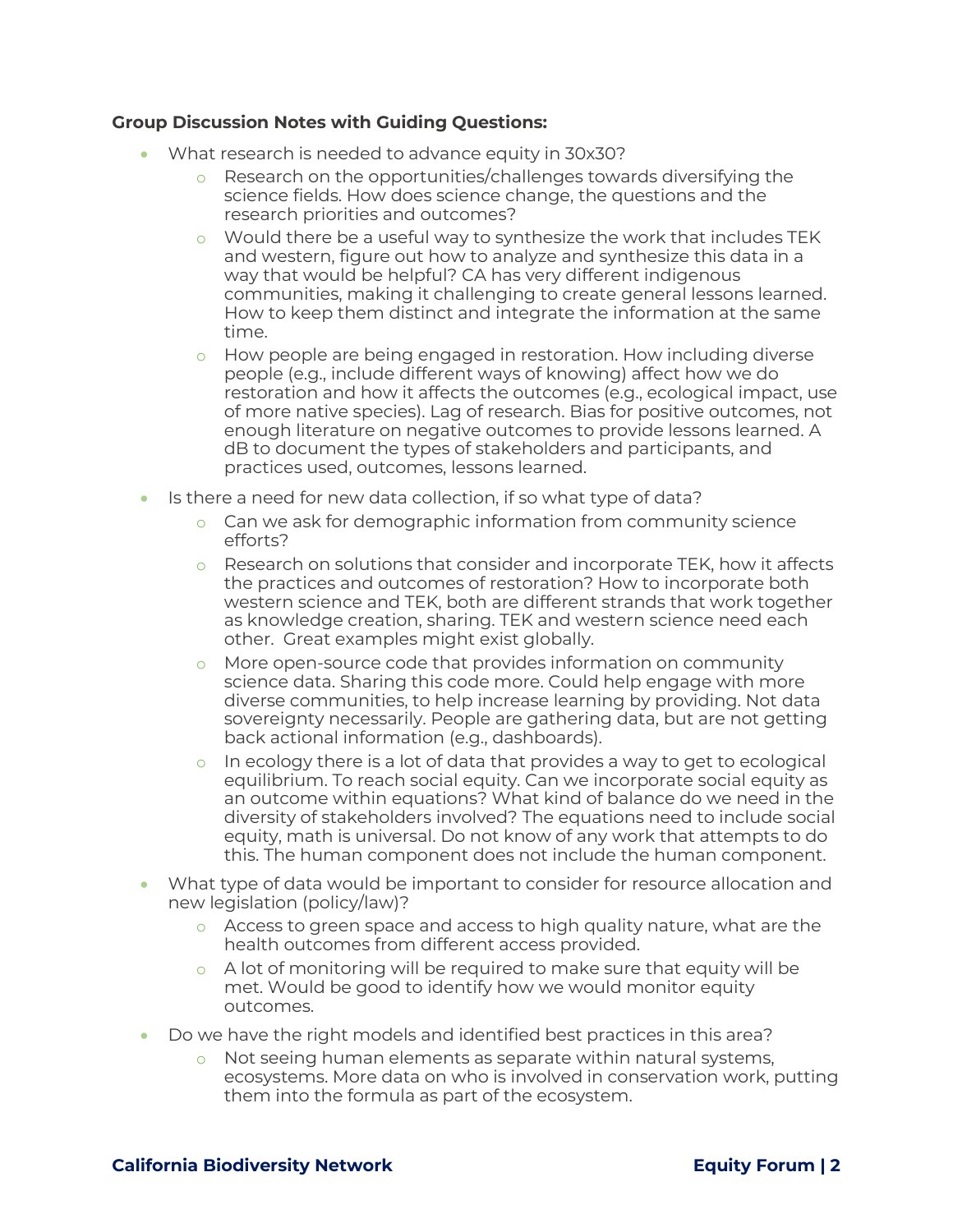#### **Group Discussion Notes with Guiding Questions:**

- What research is needed to advance equity in 30x30?
	- $\circ$  Research on the opportunities/challenges towards diversifying the science fields. How does science change, the questions and the research priorities and outcomes?
	- $\circ$  Would there be a useful way to synthesize the work that includes TEK and western, figure out how to analyze and synthesize this data in a way that would be helpful? CA has very different indigenous communities, making it challenging to create general lessons learned. How to keep them distinct and integrate the information at the same time.
	- o How people are being engaged in restoration. How including diverse people (e.g., include different ways of knowing) affect how we do restoration and how it affects the outcomes (e.g., ecological impact, use of more native species). Lag of research. Bias for positive outcomes, not enough literature on negative outcomes to provide lessons learned. A dB to document the types of stakeholders and participants, and practices used, outcomes, lessons learned.
- Is there a need for new data collection, if so what type of data?
	- $\circ$  Can we ask for demographic information from community science efforts?
	- $\circ$  Research on solutions that consider and incorporate TEK, how it affects the practices and outcomes of restoration? How to incorporate both western science and TEK, both are different strands that work together as knowledge creation, sharing. TEK and western science need each other. Great examples might exist globally.
	- o More open-source code that provides information on community science data. Sharing this code more. Could help engage with more diverse communities, to help increase learning by providing. Not data sovereignty necessarily. People are gathering data, but are not getting back actional information (e.g., dashboards).
	- o In ecology there is a lot of data that provides a way to get to ecological equilibrium. To reach social equity. Can we incorporate social equity as an outcome within equations? What kind of balance do we need in the diversity of stakeholders involved? The equations need to include social equity, math is universal. Do not know of any work that attempts to do this. The human component does not include the human component.
- What type of data would be important to consider for resource allocation and new legislation (policy/law)?
	- $\circ$  Access to green space and access to high quality nature, what are the health outcomes from different access provided.
	- $\circ$  A lot of monitoring will be required to make sure that equity will be met. Would be good to identify how we would monitor equity outcomes.
- Do we have the right models and identified best practices in this area?
	- o Not seeing human elements as separate within natural systems, ecosystems. More data on who is involved in conservation work, putting them into the formula as part of the ecosystem.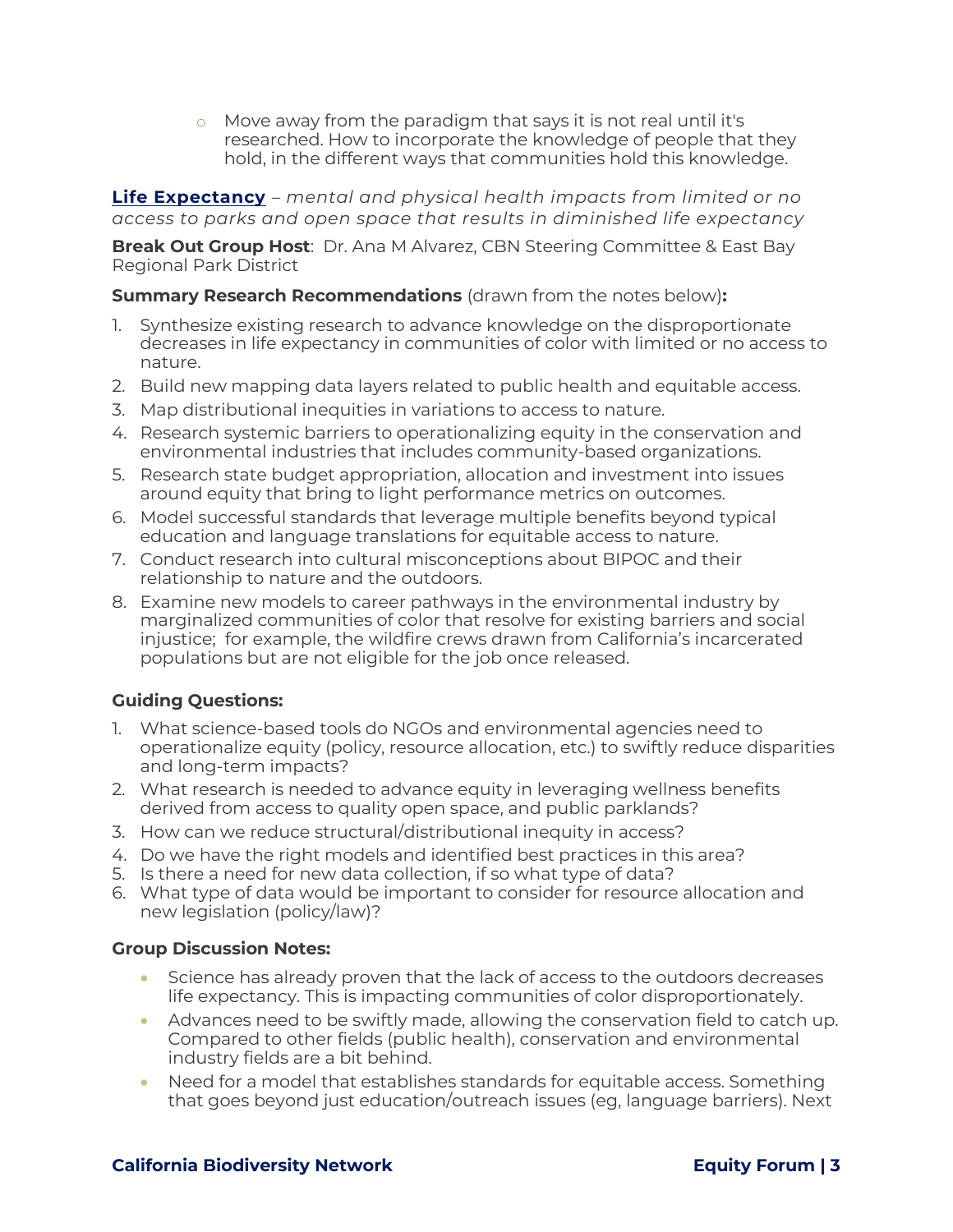o Move away from the paradigm that says it is not real until it's researched. How to incorporate the knowledge of people that they hold, in the different ways that communities hold this knowledge.

**Life Expectancy** – *mental and physical health impacts from limited or no access to parks and open space that results in diminished life expectancy*

**Break Out Group Host**: Dr. Ana M Alvarez, CBN Steering Committee & East Bay Regional Park District

**Summary Research Recommendations** (drawn from the notes below)**:** 

- 1. Synthesize existing research to advance knowledge on the disproportionate decreases in life expectancy in communities of color with limited or no access to nature.
- 2. Build new mapping data layers related to public health and equitable access.
- 3. Map distributional inequities in variations to access to nature.
- 4. Research systemic barriers to operationalizing equity in the conservation and environmental industries that includes community-based organizations.
- 5. Research state budget appropriation, allocation and investment into issues around equity that bring to light performance metrics on outcomes.
- 6. Model successful standards that leverage multiple benefits beyond typical education and language translations for equitable access to nature.
- 7. Conduct research into cultural misconceptions about BIPOC and their relationship to nature and the outdoors.
- 8. Examine new models to career pathways in the environmental industry by marginalized communities of color that resolve for existing barriers and social injustice; for example, the wildfire crews drawn from California's incarcerated populations but are not eligible for the job once released.

## **Guiding Questions:**

- 1. What science-based tools do NGOs and environmental agencies need to operationalize equity (policy, resource allocation, etc.) to swiftly reduce disparities and long-term impacts?
- 2. What research is needed to advance equity in leveraging wellness benefits derived from access to quality open space, and public parklands?
- 3. How can we reduce structural/distributional inequity in access?
- 4. Do we have the right models and identified best practices in this area?
- 5. Is there a need for new data collection, if so what type of data?
- 6. What type of data would be important to consider for resource allocation and new legislation (policy/law)?

## **Group Discussion Notes:**

- Science has already proven that the lack of access to the outdoors decreases life expectancy. This is impacting communities of color disproportionately.
- Advances need to be swiftly made, allowing the conservation field to catch up. Compared to other fields (public health), conservation and environmental industry fields are a bit behind.
- Need for a model that establishes standards for equitable access. Something that goes beyond just education/outreach issues (eg, language barriers). Next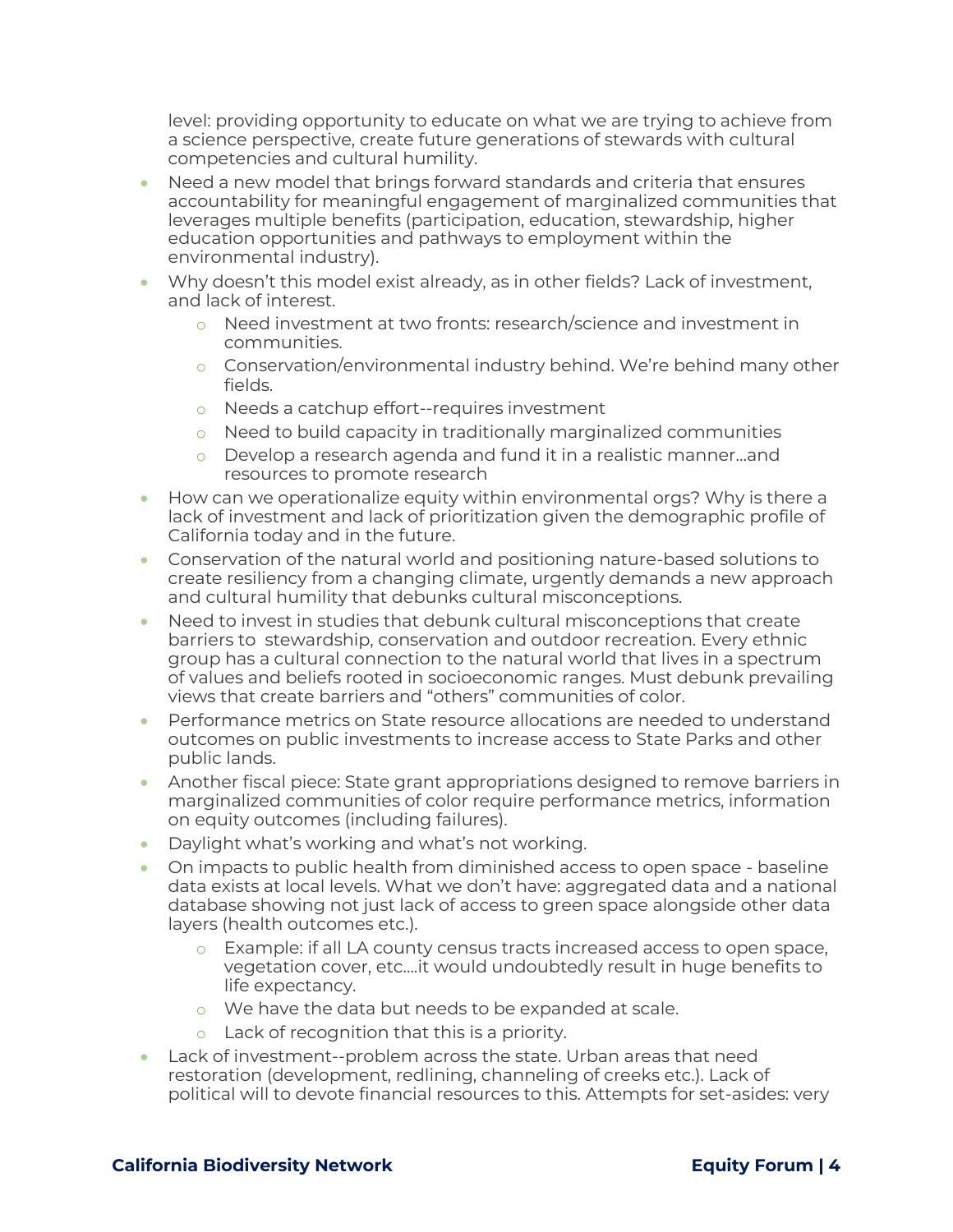level: providing opportunity to educate on what we are trying to achieve from a science perspective, create future generations of stewards with cultural competencies and cultural humility.

- Need a new model that brings forward standards and criteria that ensures accountability for meaningful engagement of marginalized communities that leverages multiple benefits (participation, education, stewardship, higher education opportunities and pathways to employment within the environmental industry).
- Why doesn't this model exist already, as in other fields? Lack of investment, and lack of interest.
	- o Need investment at two fronts: research/science and investment in communities.
	- $\circ$  Conservation/environmental industry behind. We're behind many other fields.
	- o Needs a catchup effort--requires investment
	- o Need to build capacity in traditionally marginalized communities
	- o Develop a research agenda and fund it in a realistic manner…and resources to promote research
- How can we operationalize equity within environmental orgs? Why is there a lack of investment and lack of prioritization given the demographic profile of California today and in the future.
- Conservation of the natural world and positioning nature-based solutions to create resiliency from a changing climate, urgently demands a new approach and cultural humility that debunks cultural misconceptions.
- Need to invest in studies that debunk cultural misconceptions that create barriers to stewardship, conservation and outdoor recreation. Every ethnic group has a cultural connection to the natural world that lives in a spectrum of values and beliefs rooted in socioeconomic ranges. Must debunk prevailing views that create barriers and "others" communities of color.
- Performance metrics on State resource allocations are needed to understand outcomes on public investments to increase access to State Parks and other public lands.
- Another fiscal piece: State grant appropriations designed to remove barriers in marginalized communities of color require performance metrics, information on equity outcomes (including failures).
- Daylight what's working and what's not working.
- On impacts to public health from diminished access to open space baseline data exists at local levels. What we don't have: aggregated data and a national database showing not just lack of access to green space alongside other data layers (health outcomes etc.).
	- o Example: if all LA county census tracts increased access to open space, vegetation cover, etc….it would undoubtedly result in huge benefits to life expectancy.
	- o We have the data but needs to be expanded at scale.
	- o Lack of recognition that this is a priority.
- Lack of investment--problem across the state. Urban areas that need restoration (development, redlining, channeling of creeks etc.). Lack of political will to devote financial resources to this. Attempts for set-asides: very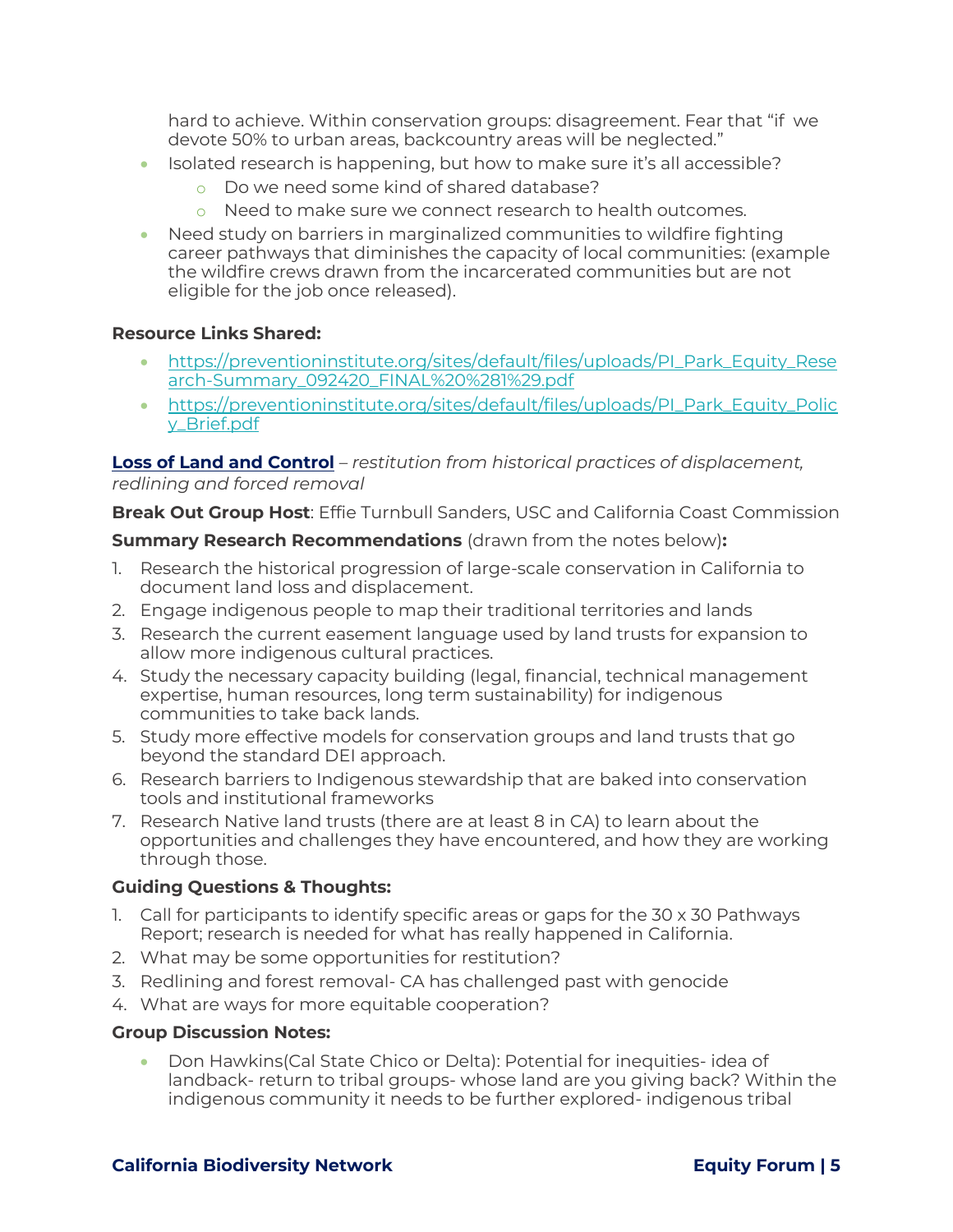hard to achieve. Within conservation groups: disagreement. Fear that "if we devote 50% to urban areas, backcountry areas will be neglected."

- Isolated research is happening, but how to make sure it's all accessible?
	- o Do we need some kind of shared database?
	- o Need to make sure we connect research to health outcomes.
- Need study on barriers in marginalized communities to wildfire fighting career pathways that diminishes the capacity of local communities: (example the wildfire crews drawn from the incarcerated communities but are not eligible for the job once released).

## **Resource Links Shared:**

- [https://preventioninstitute.org/sites/default/files/uploads/PI\\_Park\\_Equity\\_Rese](https://preventioninstitute.org/sites/default/files/uploads/PI_Park_Equity_Research-Summary_092420_FINAL%20%281%29.pdf) [arch-Summary\\_092420\\_FINAL%20%281%29.pdf](https://preventioninstitute.org/sites/default/files/uploads/PI_Park_Equity_Research-Summary_092420_FINAL%20%281%29.pdf)
- [https://preventioninstitute.org/sites/default/files/uploads/PI\\_Park\\_Equity\\_Polic](https://preventioninstitute.org/sites/default/files/uploads/PI_Park_Equity_Policy_Brief.pdf) [y\\_Brief.pdf](https://preventioninstitute.org/sites/default/files/uploads/PI_Park_Equity_Policy_Brief.pdf)

**Loss of Land and Control** – *restitution from historical practices of displacement, redlining and forced removal*

**Break Out Group Host**: Effie Turnbull Sanders, USC and California Coast Commission

**Summary Research Recommendations** (drawn from the notes below)**:** 

- 1. Research the historical progression of large-scale conservation in California to document land loss and displacement.
- 2. Engage indigenous people to map their traditional territories and lands
- 3. Research the current easement language used by land trusts for expansion to allow more indigenous cultural practices.
- 4. Study the necessary capacity building (legal, financial, technical management expertise, human resources, long term sustainability) for indigenous communities to take back lands.
- 5. Study more effective models for conservation groups and land trusts that go beyond the standard DEI approach.
- 6. Research barriers to Indigenous stewardship that are baked into conservation tools and institutional frameworks
- 7. Research Native land trusts (there are at least 8 in CA) to learn about the opportunities and challenges they have encountered, and how they are working through those.

# **Guiding Questions & Thoughts:**

- 1. Call for participants to identify specific areas or gaps for the 30 x 30 Pathways Report; research is needed for what has really happened in California.
- 2. What may be some opportunities for restitution?
- 3. Redlining and forest removal- CA has challenged past with genocide
- 4. What are ways for more equitable cooperation?

## **Group Discussion Notes:**

• Don Hawkins(Cal State Chico or Delta): Potential for inequities- idea of landback- return to tribal groups- whose land are you giving back? Within the indigenous community it needs to be further explored- indigenous tribal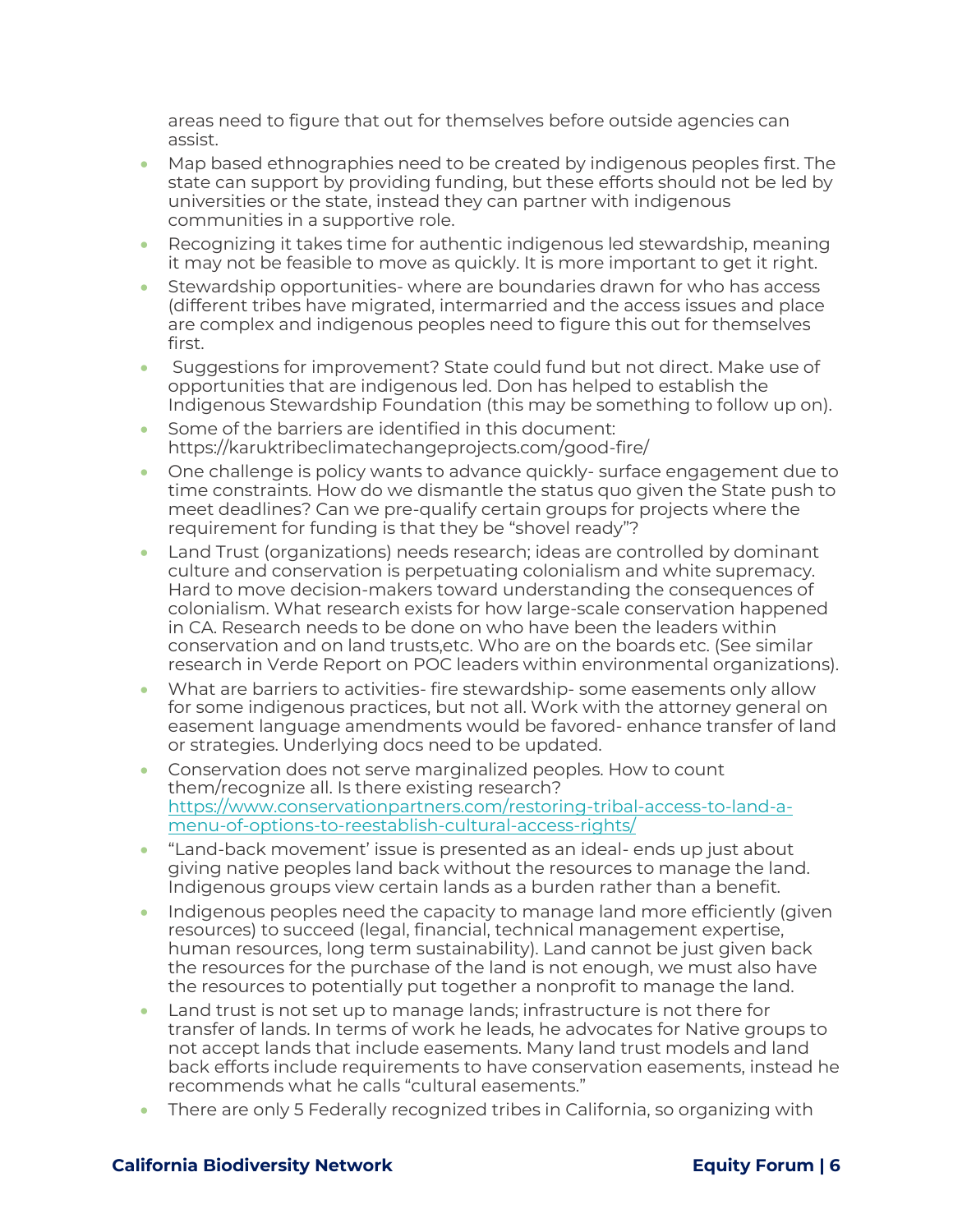areas need to figure that out for themselves before outside agencies can assist.

- Map based ethnographies need to be created by indigenous peoples first. The state can support by providing funding, but these efforts should not be led by universities or the state, instead they can partner with indigenous communities in a supportive role.
- Recognizing it takes time for authentic indigenous led stewardship, meaning it may not be feasible to move as quickly. It is more important to get it right.
- Stewardship opportunities- where are boundaries drawn for who has access (different tribes have migrated, intermarried and the access issues and place are complex and indigenous peoples need to figure this out for themselves first.
- Suggestions for improvement? State could fund but not direct. Make use of opportunities that are indigenous led. Don has helped to establish the Indigenous Stewardship Foundation (this may be something to follow up on).
- Some of the barriers are identified in this document: <https://karuktribeclimatechangeprojects.com/good-fire/>
- One challenge is policy wants to advance quickly- surface engagement due to time constraints. How do we dismantle the status quo given the State push to meet deadlines? Can we pre-qualify certain groups for projects where the requirement for funding is that they be "shovel ready"?
- Land Trust (organizations) needs research; ideas are controlled by dominant culture and conservation is perpetuating colonialism and white supremacy. Hard to move decision-makers toward understanding the consequences of colonialism. What research exists for how large-scale conservation happened in CA. Research needs to be done on who have been the leaders within conservation and on land trusts,etc. Who are on the boards etc. (See similar research in Verde Report on POC leaders within environmental organizations).
- What are barriers to activities- fire stewardship- some easements only allow for some indigenous practices, but not all. Work with the attorney general on easement language amendments would be favored- enhance transfer of land or strategies. Underlying docs need to be updated.
- Conservation does not serve marginalized peoples. How to count them/recognize all. Is there existing research? [https://www.conservationpartners.com/restoring-tribal-access-to-land-a](https://www.conservationpartners.com/restoring-tribal-access-to-land-a-menu-of-options-to-reestablish-cultural-access-rights/)[menu-of-options-to-reestablish-cultural-access-rights/](https://www.conservationpartners.com/restoring-tribal-access-to-land-a-menu-of-options-to-reestablish-cultural-access-rights/)
- "Land-back movement' issue is presented as an ideal- ends up just about giving native peoples land back without the resources to manage the land. Indigenous groups view certain lands as a burden rather than a benefit.
- Indigenous peoples need the capacity to manage land more efficiently (given resources) to succeed (legal, financial, technical management expertise, human resources, long term sustainability). Land cannot be just given back the resources for the purchase of the land is not enough, we must also have the resources to potentially put together a nonprofit to manage the land.
- Land trust is not set up to manage lands; infrastructure is not there for transfer of lands. In terms of work he leads, he advocates for Native groups to not accept lands that include easements. Many land trust models and land back efforts include requirements to have conservation easements, instead he recommends what he calls "cultural easements."
- There are only 5 Federally recognized tribes in California, so organizing with

## **California Biodiversity Network Equity Forum | 6**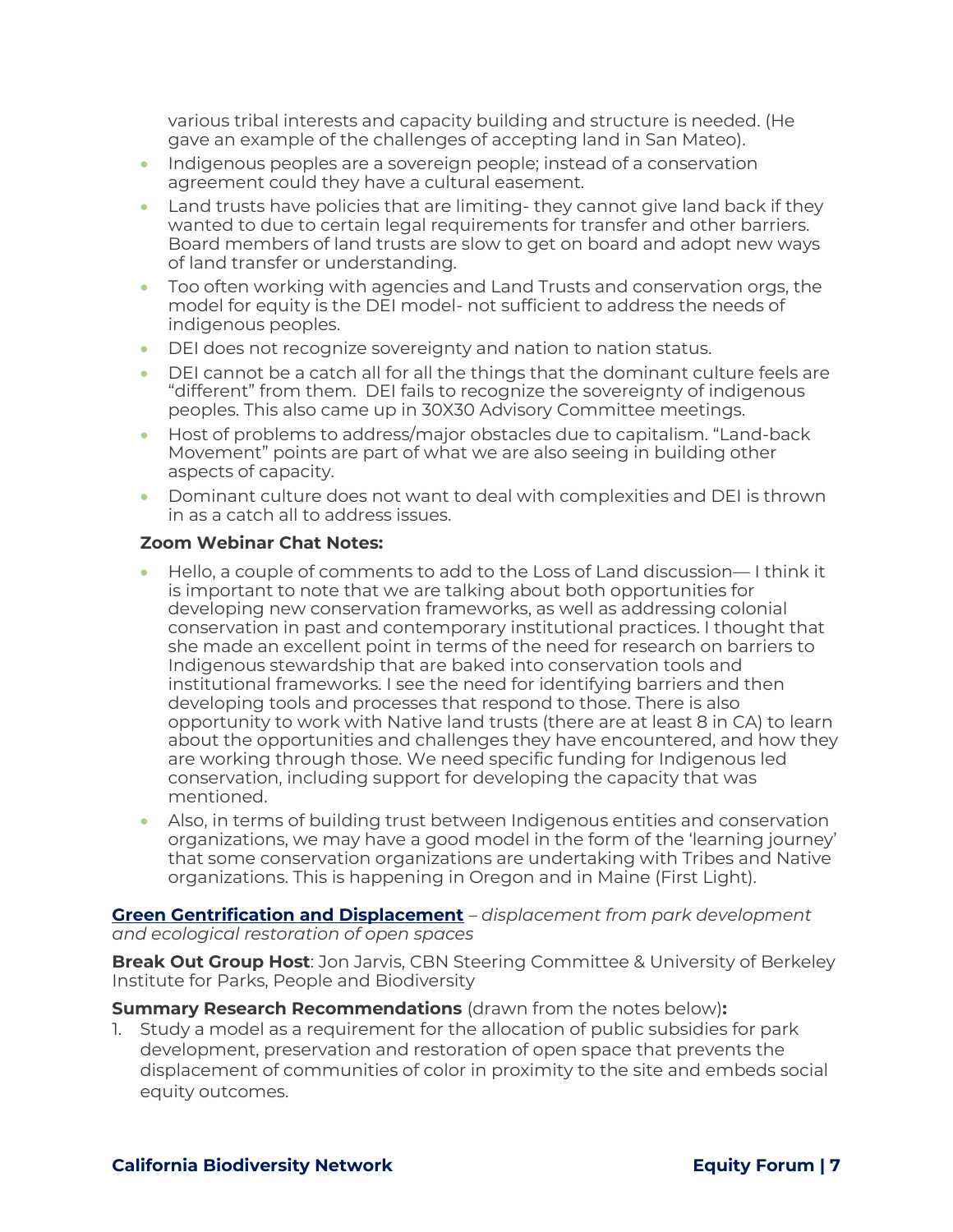various tribal interests and capacity building and structure is needed. (He gave an example of the challenges of accepting land in San Mateo).

- Indigenous peoples are a sovereign people; instead of a conservation agreement could they have a cultural easement.
- Land trusts have policies that are limiting- they cannot give land back if they wanted to due to certain legal requirements for transfer and other barriers. Board members of land trusts are slow to get on board and adopt new ways of land transfer or understanding.
- Too often working with agencies and Land Trusts and conservation orgs, the model for equity is the DEI model- not sufficient to address the needs of indigenous peoples.
- DEI does not recognize sovereignty and nation to nation status.
- DEI cannot be a catch all for all the things that the dominant culture feels are "different" from them. DEI fails to recognize the sovereignty of indigenous peoples. This also came up in 30X30 Advisory Committee meetings.
- Host of problems to address/major obstacles due to capitalism. "Land-back Movement" points are part of what we are also seeing in building other aspects of capacity.
- Dominant culture does not want to deal with complexities and DEI is thrown in as a catch all to address issues.

## **Zoom Webinar Chat Notes:**

- Hello, a couple of comments to add to the Loss of Land discussion— I think it is important to note that we are talking about both opportunities for developing new conservation frameworks, as well as addressing colonial conservation in past and contemporary institutional practices. I thought that she made an excellent point in terms of the need for research on barriers to Indigenous stewardship that are baked into conservation tools and institutional frameworks. I see the need for identifying barriers and then developing tools and processes that respond to those. There is also opportunity to work with Native land trusts (there are at least 8 in CA) to learn about the opportunities and challenges they have encountered, and how they are working through those. We need specific funding for Indigenous led conservation, including support for developing the capacity that was mentioned.
- Also, in terms of building trust between Indigenous entities and conservation organizations, we may have a good model in the form of the 'learning journey' that some conservation organizations are undertaking with Tribes and Native organizations. This is happening in Oregon and in Maine (First Light).

#### **Green Gentrification and Displacement** – *displacement from park development and ecological restoration of open spaces*

**Break Out Group Host**: Jon Jarvis, CBN Steering Committee & University of Berkeley Institute for Parks, People and Biodiversity

**Summary Research Recommendations** (drawn from the notes below)**:** 

1. Study a model as a requirement for the allocation of public subsidies for park development, preservation and restoration of open space that prevents the displacement of communities of color in proximity to the site and embeds social equity outcomes.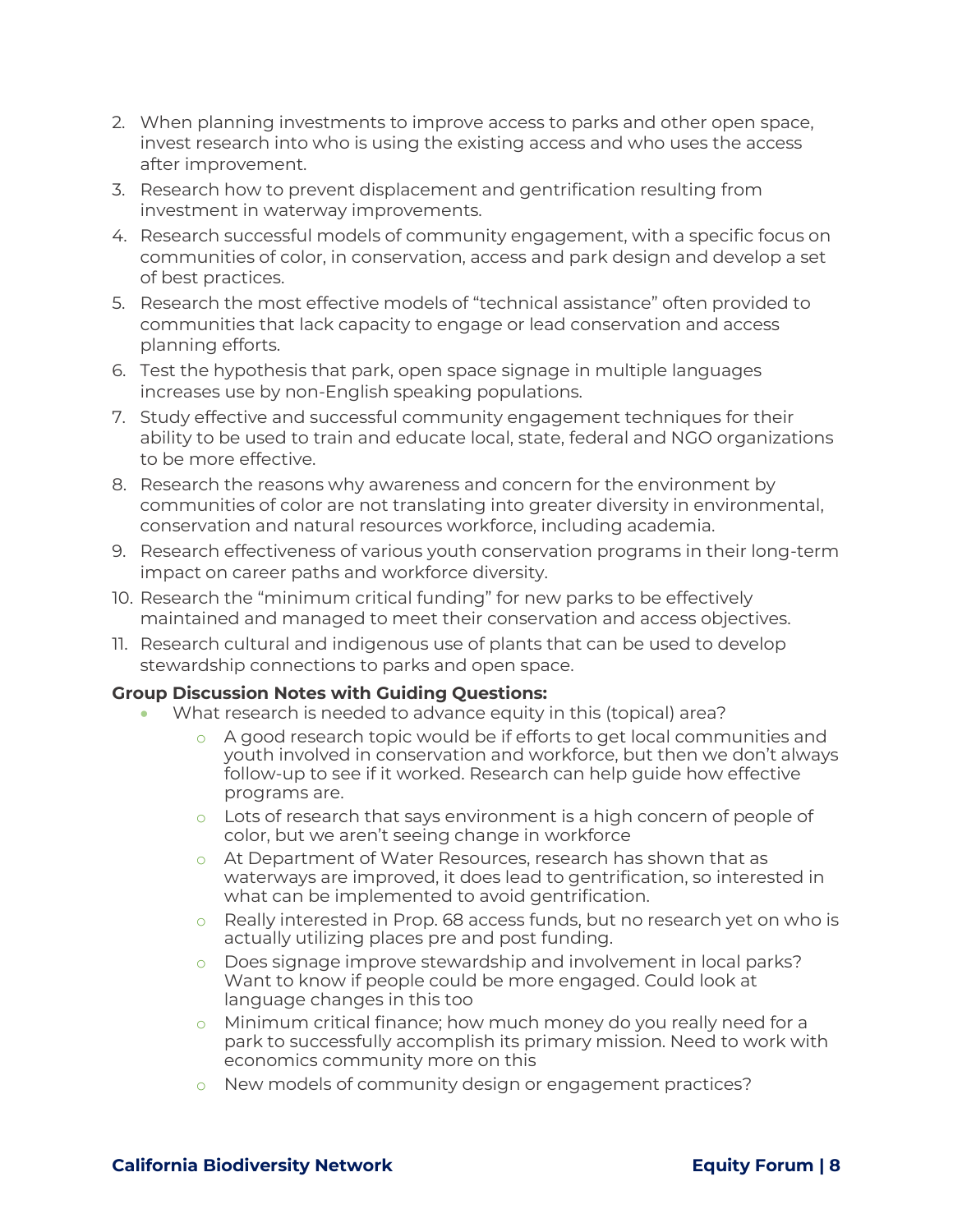- 2. When planning investments to improve access to parks and other open space, invest research into who is using the existing access and who uses the access after improvement.
- 3. Research how to prevent displacement and gentrification resulting from investment in waterway improvements.
- 4. Research successful models of community engagement, with a specific focus on communities of color, in conservation, access and park design and develop a set of best practices.
- 5. Research the most effective models of "technical assistance" often provided to communities that lack capacity to engage or lead conservation and access planning efforts.
- 6. Test the hypothesis that park, open space signage in multiple languages increases use by non-English speaking populations.
- 7. Study effective and successful community engagement techniques for their ability to be used to train and educate local, state, federal and NGO organizations to be more effective.
- 8. Research the reasons why awareness and concern for the environment by communities of color are not translating into greater diversity in environmental, conservation and natural resources workforce, including academia.
- 9. Research effectiveness of various youth conservation programs in their long-term impact on career paths and workforce diversity.
- 10. Research the "minimum critical funding" for new parks to be effectively maintained and managed to meet their conservation and access objectives.
- 11. Research cultural and indigenous use of plants that can be used to develop stewardship connections to parks and open space.

## **Group Discussion Notes with Guiding Questions:**

- What research is needed to advance equity in this (topical) area?
	- o A good research topic would be if efforts to get local communities and youth involved in conservation and workforce, but then we don't always follow-up to see if it worked. Research can help guide how effective programs are.
	- $\circ$  Lots of research that says environment is a high concern of people of color, but we aren't seeing change in workforce
	- o At Department of Water Resources, research has shown that as waterways are improved, it does lead to gentrification, so interested in what can be implemented to avoid gentrification.
	- o Really interested in Prop. 68 access funds, but no research yet on who is actually utilizing places pre and post funding.
	- o Does signage improve stewardship and involvement in local parks? Want to know if people could be more engaged. Could look at language changes in this too
	- o Minimum critical finance; how much money do you really need for a park to successfully accomplish its primary mission. Need to work with economics community more on this
	- o New models of community design or engagement practices?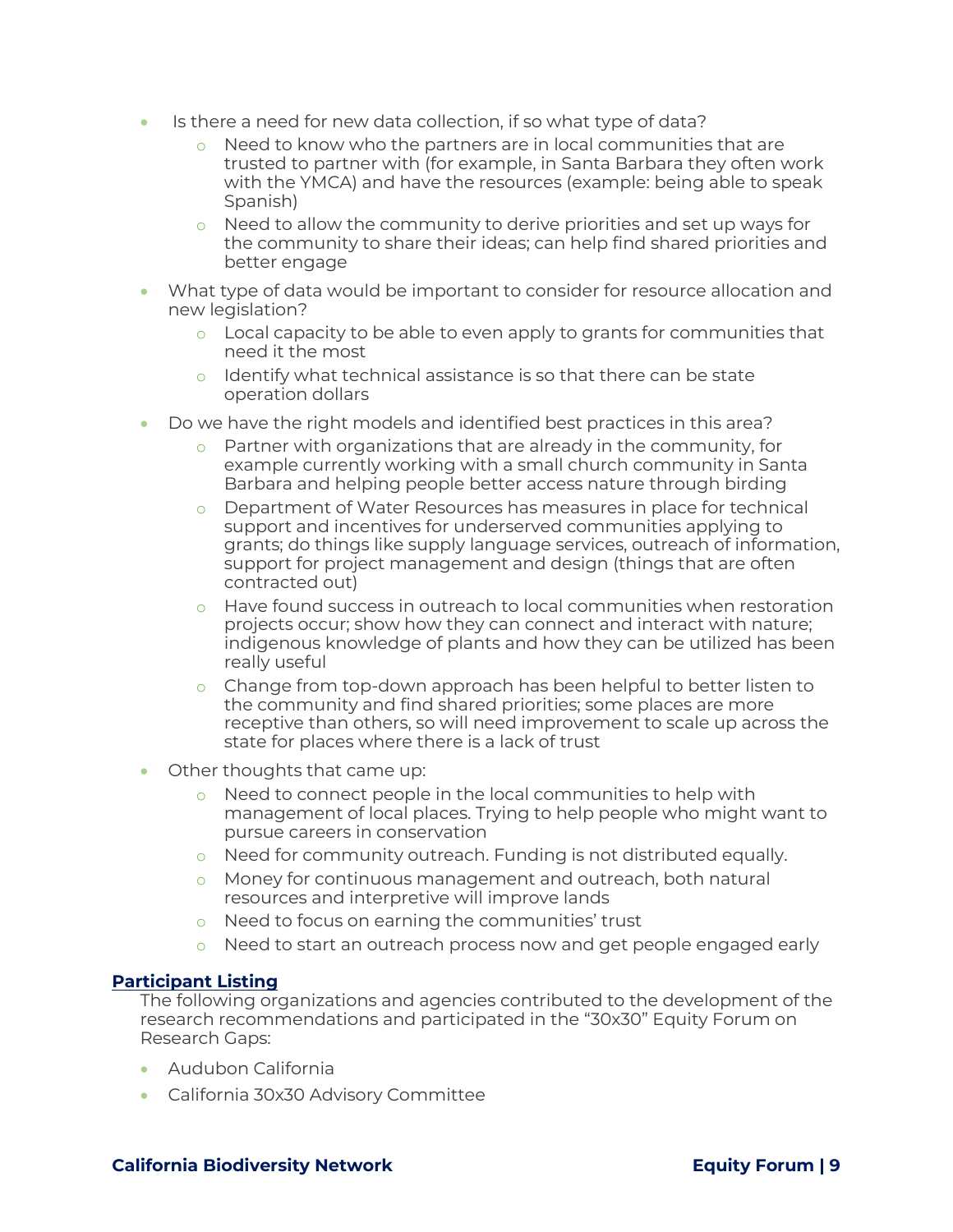- Is there a need for new data collection, if so what type of data?
	- o Need to know who the partners are in local communities that are trusted to partner with (for example, in Santa Barbara they often work with the YMCA) and have the resources (example: being able to speak Spanish)
	- o Need to allow the community to derive priorities and set up ways for the community to share their ideas; can help find shared priorities and better engage
- What type of data would be important to consider for resource allocation and new legislation?
	- o Local capacity to be able to even apply to grants for communities that need it the most
	- o Identify what technical assistance is so that there can be state operation dollars
- Do we have the right models and identified best practices in this area?
	- o Partner with organizations that are already in the community, for example currently working with a small church community in Santa Barbara and helping people better access nature through birding
	- o Department of Water Resources has measures in place for technical support and incentives for underserved communities applying to grants; do things like supply language services, outreach of information, support for project management and design (things that are often contracted out)
	- o Have found success in outreach to local communities when restoration projects occur; show how they can connect and interact with nature; indigenous knowledge of plants and how they can be utilized has been really useful
	- o Change from top-down approach has been helpful to better listen to the community and find shared priorities; some places are more receptive than others, so will need improvement to scale up across the state for places where there is a lack of trust
- Other thoughts that came up:
	- o Need to connect people in the local communities to help with management of local places. Trying to help people who might want to pursue careers in conservation
	- o Need for community outreach. Funding is not distributed equally.
	- o Money for continuous management and outreach, both natural resources and interpretive will improve lands
	- o Need to focus on earning the communities' trust
	- o Need to start an outreach process now and get people engaged early

#### **Participant Listing**

The following organizations and agencies contributed to the development of the research recommendations and participated in the "30x30" Equity Forum on Research Gaps:

- Audubon California
- California 30x30 Advisory Committee

#### **California Biodiversity Network Equity Forum Equity Forum 19**